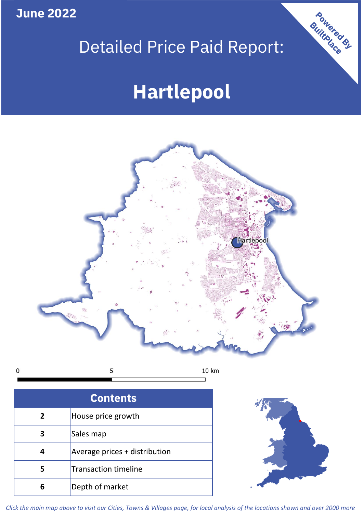**June 2022**

## Detailed Price Paid Report:

## **Hartlepool**



 $\mathbf 0$ 5 10 km

| <b>Contents</b> |                               |  |  |
|-----------------|-------------------------------|--|--|
| 2               | House price growth            |  |  |
|                 | Sales map                     |  |  |
|                 | Average prices + distribution |  |  |
| 5               | <b>Transaction timeline</b>   |  |  |
| 6               | Depth of market               |  |  |



Powered By

*Click the main map above to visit our Cities, Towns & Villages page, for local analysis of the locations shown and over 2000 more*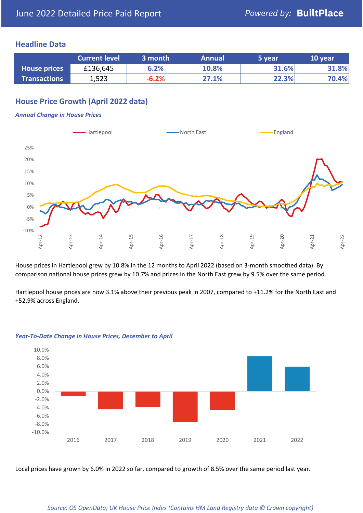#### **Headline Data**

|                     | <b>Current level</b> | 3 month | <b>Annual</b> | 5 year | 10 year |
|---------------------|----------------------|---------|---------------|--------|---------|
| <b>House prices</b> | £136,645             | 6.2%    | 10.8%         | 31.6%  | 31.8%   |
| <b>Transactions</b> | 1,523                | $-6.2%$ | 27.1%         | 22.3%  | 70.4%   |

## **House Price Growth (April 2022 data)**

#### *Annual Change in House Prices*



House prices in Hartlepool grew by 10.8% in the 12 months to April 2022 (based on 3-month smoothed data). By comparison national house prices grew by 10.7% and prices in the North East grew by 9.5% over the same period.

Hartlepool house prices are now 3.1% above their previous peak in 2007, compared to +11.2% for the North East and +52.9% across England.



#### *Year-To-Date Change in House Prices, December to April*

Local prices have grown by 6.0% in 2022 so far, compared to growth of 8.5% over the same period last year.

#### *Source: OS OpenData; UK House Price Index (Contains HM Land Registry data © Crown copyright)*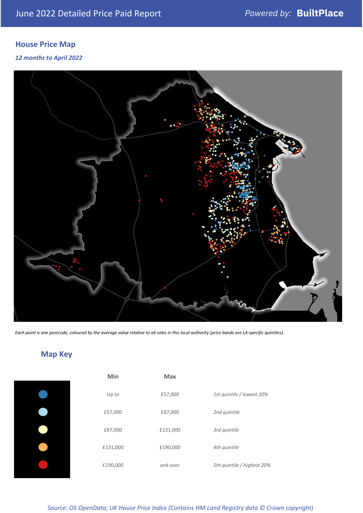## **House Price Map**

#### *12 months to April 2022*



*Each point is one postcode, coloured by the average value relative to all sales in this local authority (price bands are LA-specific quintiles).*

# **Map Key**

| Min      | <b>Max</b> |                            |
|----------|------------|----------------------------|
| Up to    | £57,000    | 1st quintile / lowest 20%  |
| £57,000  | £87,000    | 2nd quintile               |
| £87,000  | £131,000   | 3rd quintile               |
| £131,000 | £190,000   | 4th quintile               |
| £190,000 | and over   | 5th quintile / highest 20% |

#### *Source: OS OpenData; UK House Price Index (Contains HM Land Registry data © Crown copyright)*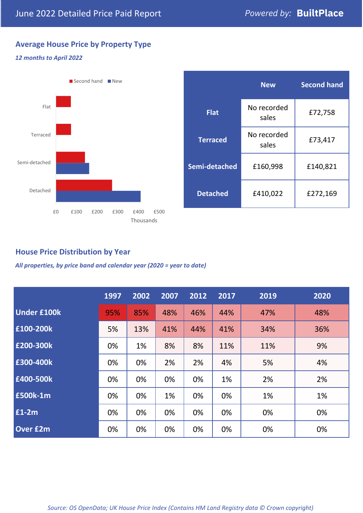## **Average House Price by Property Type**

#### *12 months to April 2022*



### **House Price Distribution by Year**

*All properties, by price band and calendar year (2020 = year to date)*

|                    | 1997 | 2002 | 2007 | 2012 | 2017 | 2019 | 2020 |
|--------------------|------|------|------|------|------|------|------|
| <b>Under £100k</b> | 95%  | 85%  | 48%  | 46%  | 44%  | 47%  | 48%  |
| £100-200k          | 5%   | 13%  | 41%  | 44%  | 41%  | 34%  | 36%  |
| E200-300k          | 0%   | 1%   | 8%   | 8%   | 11%  | 11%  | 9%   |
| E300-400k          | 0%   | 0%   | 2%   | 2%   | 4%   | 5%   | 4%   |
| £400-500k          | 0%   | 0%   | 0%   | 0%   | 1%   | 2%   | 2%   |
| <b>£500k-1m</b>    | 0%   | 0%   | 1%   | 0%   | 0%   | 1%   | 1%   |
| £1-2m              | 0%   | 0%   | 0%   | 0%   | 0%   | 0%   | 0%   |
| <b>Over £2m</b>    | 0%   | 0%   | 0%   | 0%   | 0%   | 0%   | 0%   |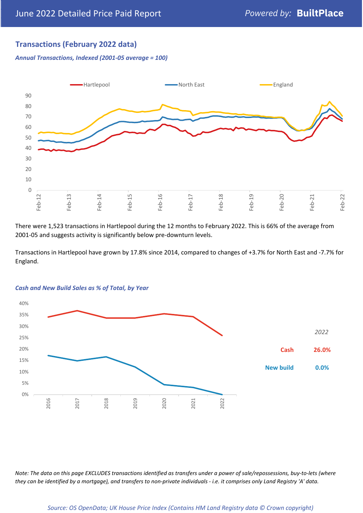## **Transactions (February 2022 data)**

*Annual Transactions, Indexed (2001-05 average = 100)*



There were 1,523 transactions in Hartlepool during the 12 months to February 2022. This is 66% of the average from 2001-05 and suggests activity is significantly below pre-downturn levels.

Transactions in Hartlepool have grown by 17.8% since 2014, compared to changes of +3.7% for North East and -7.7% for England.



#### *Cash and New Build Sales as % of Total, by Year*

*Note: The data on this page EXCLUDES transactions identified as transfers under a power of sale/repossessions, buy-to-lets (where they can be identified by a mortgage), and transfers to non-private individuals - i.e. it comprises only Land Registry 'A' data.*